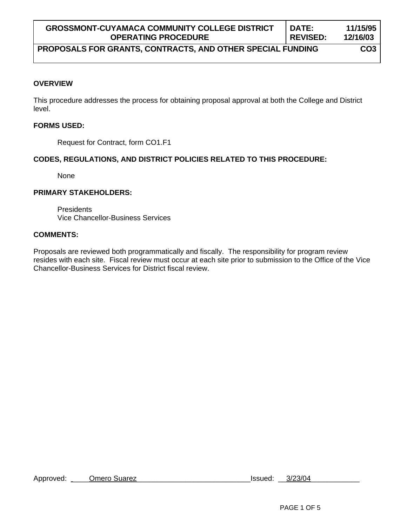| <b>GROSSMONT-CUYAMACA COMMUNITY COLLEGE DISTRICT</b>       | <b>DATE:</b>    | 11/15/95        |
|------------------------------------------------------------|-----------------|-----------------|
| <b>OPERATING PROCEDURE</b>                                 | <b>REVISED:</b> | 12/16/03        |
| PROPOSALS FOR GRANTS, CONTRACTS, AND OTHER SPECIAL FUNDING |                 | CO <sub>3</sub> |

#### **OVERVIEW**

This procedure addresses the process for obtaining proposal approval at both the College and District level.

#### **FORMS USED:**

Request for Contract, form CO1.F1

### **CODES, REGULATIONS, AND DISTRICT POLICIES RELATED TO THIS PROCEDURE:**

None

#### **PRIMARY STAKEHOLDERS:**

**Presidents** Vice Chancellor-Business Services

#### **COMMENTS:**

Proposals are reviewed both programmatically and fiscally. The responsibility for program review resides with each site. Fiscal review must occur at each site prior to submission to the Office of the Vice Chancellor-Business Services for District fiscal review.

Approved: \_\_\_\_Omero Suarez\_\_\_\_\_\_\_\_\_\_\_\_\_\_\_\_\_\_\_\_\_\_\_\_\_\_\_\_Issued: \_\_3/23/04\_\_\_\_\_\_\_\_\_\_\_\_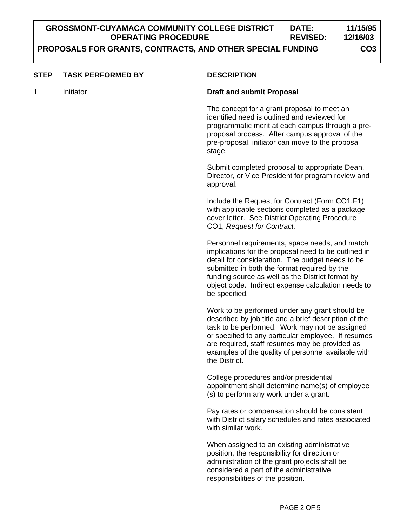# **PROPOSALS FOR GRANTS, CONTRACTS, AND OTHER SPECIAL FUNDING CO3**

| <b>STEP</b> | <b>TASK PERFORMED BY</b> | <b>DESCRIPTION</b>                                                                                                                                                                                                                                                                                                                         |
|-------------|--------------------------|--------------------------------------------------------------------------------------------------------------------------------------------------------------------------------------------------------------------------------------------------------------------------------------------------------------------------------------------|
| 1           | Initiator                | <b>Draft and submit Proposal</b>                                                                                                                                                                                                                                                                                                           |
|             |                          | The concept for a grant proposal to meet an<br>identified need is outlined and reviewed for<br>programmatic merit at each campus through a pre-<br>proposal process. After campus approval of the<br>pre-proposal, initiator can move to the proposal<br>stage.                                                                            |
|             |                          | Submit completed proposal to appropriate Dean,<br>Director, or Vice President for program review and<br>approval.                                                                                                                                                                                                                          |
|             |                          | Include the Request for Contract (Form CO1.F1)<br>with applicable sections completed as a package<br>cover letter. See District Operating Procedure<br>CO1, Request for Contract.                                                                                                                                                          |
|             |                          | Personnel requirements, space needs, and match<br>implications for the proposal need to be outlined in<br>detail for consideration. The budget needs to be<br>submitted in both the format required by the<br>funding source as well as the District format by<br>object code. Indirect expense calculation needs to<br>be specified.      |
|             |                          | Work to be performed under any grant should be<br>described by job title and a brief description of the<br>task to be performed. Work may not be assigned<br>or specified to any particular employee. If resumes<br>are required, staff resumes may be provided as<br>examples of the quality of personnel available with<br>the District. |
|             |                          | College procedures and/or presidential<br>appointment shall determine name(s) of employee<br>(s) to perform any work under a grant.                                                                                                                                                                                                        |
|             |                          | Pay rates or compensation should be consistent<br>with District salary schedules and rates associated<br>with similar work.                                                                                                                                                                                                                |
|             |                          | When assigned to an existing administrative<br>position, the responsibility for direction or<br>administration of the grant projects shall be<br>considered a part of the administrative<br>responsibilities of the position.                                                                                                              |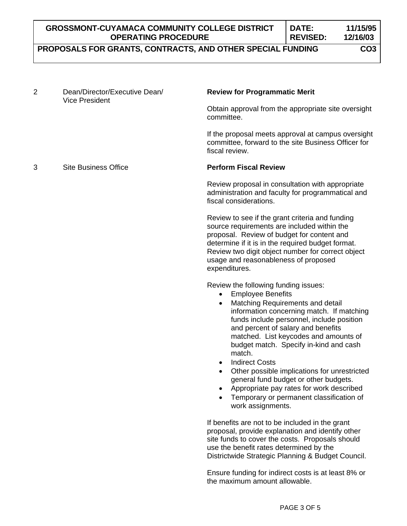| <b>GROSSMONT-CUYAMACA COMMUNITY COLLEGE DISTRICT</b>      | DATE:           | 11/15/95 |
|-----------------------------------------------------------|-----------------|----------|
| <b>OPERATING PROCEDURE</b>                                | <b>REVISED:</b> | 12/16/03 |
| BRABAALLA FAR ARANTA AANTRAATA JAIR ATUFR ABEAILL FUARNIA |                 |          |

## **PROPOSALS FOR GRANTS, CONTRACTS, AND OTHER SPECIAL FUNDING CO3**

| $\overline{2}$ | Dean/Director/Executive Dean/<br><b>Vice President</b> | <b>Review for Programmatic Merit</b>                                                                                                                                                                                                                                                                                                                                                                                                                                                                                                                                       |
|----------------|--------------------------------------------------------|----------------------------------------------------------------------------------------------------------------------------------------------------------------------------------------------------------------------------------------------------------------------------------------------------------------------------------------------------------------------------------------------------------------------------------------------------------------------------------------------------------------------------------------------------------------------------|
|                |                                                        | Obtain approval from the appropriate site oversight<br>committee.                                                                                                                                                                                                                                                                                                                                                                                                                                                                                                          |
|                |                                                        | If the proposal meets approval at campus oversight<br>committee, forward to the site Business Officer for<br>fiscal review.                                                                                                                                                                                                                                                                                                                                                                                                                                                |
| 3              | <b>Site Business Office</b>                            | <b>Perform Fiscal Review</b>                                                                                                                                                                                                                                                                                                                                                                                                                                                                                                                                               |
|                |                                                        | Review proposal in consultation with appropriate<br>administration and faculty for programmatical and<br>fiscal considerations.                                                                                                                                                                                                                                                                                                                                                                                                                                            |
|                |                                                        | Review to see if the grant criteria and funding<br>source requirements are included within the<br>proposal. Review of budget for content and<br>determine if it is in the required budget format.<br>Review two digit object number for correct object<br>usage and reasonableness of proposed<br>expenditures.                                                                                                                                                                                                                                                            |
|                |                                                        | Review the following funding issues:<br><b>Employee Benefits</b><br>٠<br>Matching Requirements and detail<br>information concerning match. If matching<br>funds include personnel, include position<br>and percent of salary and benefits<br>matched. List keycodes and amounts of<br>budget match. Specify in-kind and cash<br>match.<br><b>Indirect Costs</b><br>٠<br>Other possible implications for unrestricted<br>general fund budget or other budgets.<br>Appropriate pay rates for work described<br>Temporary or permanent classification of<br>work assignments. |
|                |                                                        | If benefits are not to be included in the grant<br>proposal, provide explanation and identify other<br>site funds to cover the costs. Proposals should<br>use the benefit rates determined by the<br>Districtwide Strategic Planning & Budget Council.                                                                                                                                                                                                                                                                                                                     |
|                |                                                        | Ensure funding for indirect costs is at least 8% or<br>the maximum amount allowable.                                                                                                                                                                                                                                                                                                                                                                                                                                                                                       |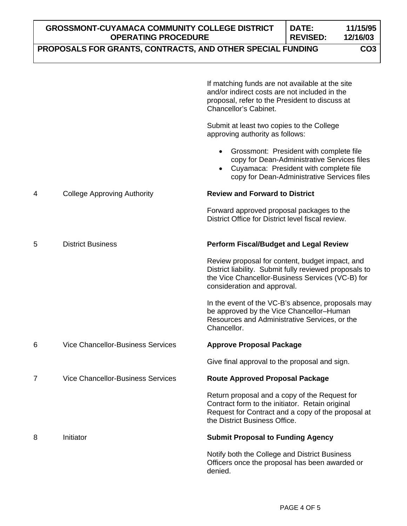|   | <b>GROSSMONT-CUYAMACA COMMUNITY COLLEGE DISTRICT</b><br>DATE:<br><b>OPERATING PROCEDURE</b><br><b>REVISED:</b><br>12/16/03<br>PROPOSALS FOR GRANTS, CONTRACTS, AND OTHER SPECIAL FUNDING     |                                                                                                                                                                                              |  | 11/15/95        |
|---|----------------------------------------------------------------------------------------------------------------------------------------------------------------------------------------------|----------------------------------------------------------------------------------------------------------------------------------------------------------------------------------------------|--|-----------------|
|   |                                                                                                                                                                                              |                                                                                                                                                                                              |  | CO <sub>3</sub> |
|   |                                                                                                                                                                                              | If matching funds are not available at the site<br>and/or indirect costs are not included in the<br>proposal, refer to the President to discuss at<br>Chancellor's Cabinet.                  |  |                 |
|   |                                                                                                                                                                                              | Submit at least two copies to the College<br>approving authority as follows:                                                                                                                 |  |                 |
|   |                                                                                                                                                                                              | Grossmont: President with complete file<br>$\bullet$<br>copy for Dean-Administrative Services files<br>Cuyamaca: President with complete file<br>copy for Dean-Administrative Services files |  |                 |
| 4 | <b>College Approving Authority</b>                                                                                                                                                           | <b>Review and Forward to District</b>                                                                                                                                                        |  |                 |
|   |                                                                                                                                                                                              | Forward approved proposal packages to the<br>District Office for District level fiscal review.                                                                                               |  |                 |
| 5 | <b>District Business</b>                                                                                                                                                                     | <b>Perform Fiscal/Budget and Legal Review</b>                                                                                                                                                |  |                 |
|   | Review proposal for content, budget impact, and<br>District liability. Submit fully reviewed proposals to<br>the Vice Chancellor-Business Services (VC-B) for<br>consideration and approval. |                                                                                                                                                                                              |  |                 |
|   |                                                                                                                                                                                              | In the event of the VC-B's absence, proposals may<br>be approved by the Vice Chancellor-Human<br>Resources and Administrative Services, or the<br>Chancellor.                                |  |                 |
| 6 | <b>Vice Chancellor-Business Services</b>                                                                                                                                                     | <b>Approve Proposal Package</b>                                                                                                                                                              |  |                 |
|   |                                                                                                                                                                                              | Give final approval to the proposal and sign.                                                                                                                                                |  |                 |
| 7 | <b>Vice Chancellor-Business Services</b>                                                                                                                                                     | <b>Route Approved Proposal Package</b>                                                                                                                                                       |  |                 |
|   |                                                                                                                                                                                              | Return proposal and a copy of the Request for<br>Contract form to the initiator. Retain original<br>Request for Contract and a copy of the proposal at<br>the District Business Office.      |  |                 |
| 8 | Initiator                                                                                                                                                                                    | <b>Submit Proposal to Funding Agency</b>                                                                                                                                                     |  |                 |
|   |                                                                                                                                                                                              | Notify both the College and District Business<br>Officers once the proposal has been awarded or<br>denied.                                                                                   |  |                 |